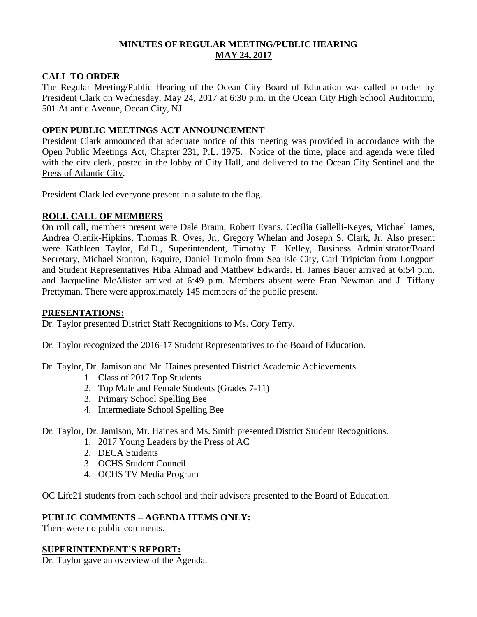# **MINUTES OF REGULAR MEETING/PUBLIC HEARING MAY 24, 2017**

### **CALL TO ORDER**

The Regular Meeting/Public Hearing of the Ocean City Board of Education was called to order by President Clark on Wednesday, May 24, 2017 at 6:30 p.m. in the Ocean City High School Auditorium, 501 Atlantic Avenue, Ocean City, NJ.

### **OPEN PUBLIC MEETINGS ACT ANNOUNCEMENT**

President Clark announced that adequate notice of this meeting was provided in accordance with the Open Public Meetings Act, Chapter 231, P.L. 1975. Notice of the time, place and agenda were filed with the city clerk, posted in the lobby of City Hall, and delivered to the Ocean City Sentinel and the Press of Atlantic City.

President Clark led everyone present in a salute to the flag.

# **ROLL CALL OF MEMBERS**

On roll call, members present were Dale Braun, Robert Evans, Cecilia Gallelli-Keyes, Michael James, Andrea Olenik-Hipkins, Thomas R. Oves, Jr., Gregory Whelan and Joseph S. Clark, Jr. Also present were Kathleen Taylor, Ed.D., Superintendent, Timothy E. Kelley, Business Administrator/Board Secretary, Michael Stanton, Esquire, Daniel Tumolo from Sea Isle City, Carl Tripician from Longport and Student Representatives Hiba Ahmad and Matthew Edwards. H. James Bauer arrived at 6:54 p.m. and Jacqueline McAlister arrived at 6:49 p.m. Members absent were Fran Newman and J. Tiffany Prettyman. There were approximately 145 members of the public present.

### **PRESENTATIONS:**

Dr. Taylor presented District Staff Recognitions to Ms. Cory Terry.

Dr. Taylor recognized the 2016-17 Student Representatives to the Board of Education.

Dr. Taylor, Dr. Jamison and Mr. Haines presented District Academic Achievements.

- 1. Class of 2017 Top Students
- 2. Top Male and Female Students (Grades 7-11)
- 3. Primary School Spelling Bee
- 4. Intermediate School Spelling Bee

Dr. Taylor, Dr. Jamison, Mr. Haines and Ms. Smith presented District Student Recognitions.

- 1. 2017 Young Leaders by the Press of AC
- 2. DECA Students
- 3. OCHS Student Council
- 4. OCHS TV Media Program

OC Life21 students from each school and their advisors presented to the Board of Education.

# **PUBLIC COMMENTS – AGENDA ITEMS ONLY:**

There were no public comments.

### **SUPERINTENDENT'S REPORT:**

Dr. Taylor gave an overview of the Agenda.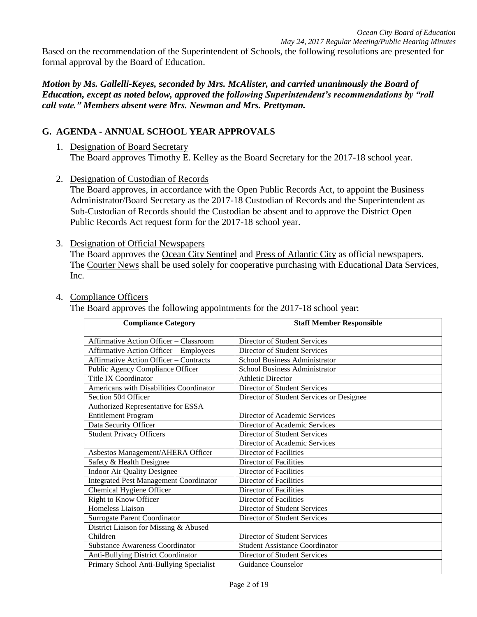Based on the recommendation of the Superintendent of Schools, the following resolutions are presented for formal approval by the Board of Education.

*Motion by Ms. Gallelli-Keyes, seconded by Mrs. McAlister, and carried unanimously the Board of Education, except as noted below, approved the following Superintendent's recommendations by "roll call vote." Members absent were Mrs. Newman and Mrs. Prettyman.* 

# **G. AGENDA - ANNUAL SCHOOL YEAR APPROVALS**

- 1. Designation of Board Secretary The Board approves Timothy E. Kelley as the Board Secretary for the 2017-18 school year.
- 2. Designation of Custodian of Records

The Board approves, in accordance with the Open Public Records Act, to appoint the Business Administrator/Board Secretary as the 2017-18 Custodian of Records and the Superintendent as Sub-Custodian of Records should the Custodian be absent and to approve the District Open Public Records Act request form for the 2017-18 school year.

3. Designation of Official Newspapers

The Board approves the Ocean City Sentinel and Press of Atlantic City as official newspapers. The Courier News shall be used solely for cooperative purchasing with Educational Data Services, Inc.

### 4. Compliance Officers

The Board approves the following appointments for the 2017-18 school year:

| <b>Compliance Category</b>                    | <b>Staff Member Responsible</b>          |
|-----------------------------------------------|------------------------------------------|
| Affirmative Action Officer - Classroom        | Director of Student Services             |
| <b>Affirmative Action Officer - Employees</b> | Director of Student Services             |
| <b>Affirmative Action Officer - Contracts</b> | <b>School Business Administrator</b>     |
| Public Agency Compliance Officer              | School Business Administrator            |
| <b>Title IX Coordinator</b>                   | <b>Athletic Director</b>                 |
| Americans with Disabilities Coordinator       | Director of Student Services             |
| Section 504 Officer                           | Director of Student Services or Designee |
| Authorized Representative for ESSA            |                                          |
| <b>Entitlement Program</b>                    | Director of Academic Services            |
| Data Security Officer                         | Director of Academic Services            |
| <b>Student Privacy Officers</b>               | Director of Student Services             |
|                                               | Director of Academic Services            |
| Asbestos Management/AHERA Officer             | Director of Facilities                   |
| Safety & Health Designee                      | Director of Facilities                   |
| Indoor Air Quality Designee                   | Director of Facilities                   |
| <b>Integrated Pest Management Coordinator</b> | Director of Facilities                   |
| Chemical Hygiene Officer                      | Director of Facilities                   |
| Right to Know Officer                         | Director of Facilities                   |
| Homeless Liaison                              | Director of Student Services             |
| Surrogate Parent Coordinator                  | Director of Student Services             |
| District Liaison for Missing & Abused         |                                          |
| Children                                      | Director of Student Services             |
| <b>Substance Awareness Coordinator</b>        | <b>Student Assistance Coordinator</b>    |
| Anti-Bullying District Coordinator            | Director of Student Services             |
| Primary School Anti-Bullying Specialist       | Guidance Counselor                       |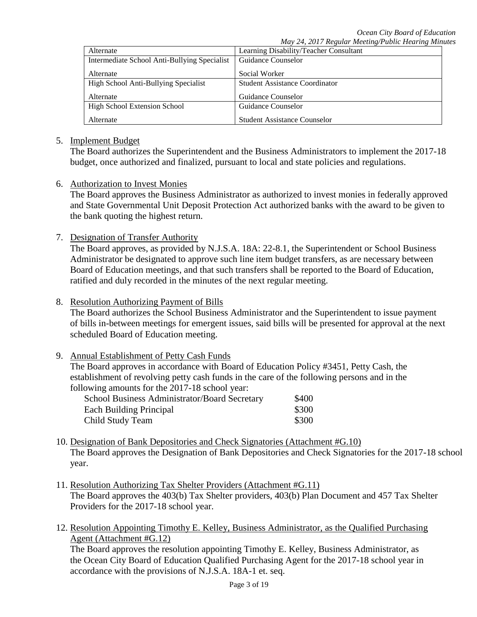|                                              | $\cdots$ , $\cdots$ , $\cdots$ , $\cdots$ , $\cdots$ , $\cdots$ , $\cdots$ , $\cdots$ , $\cdots$ , $\cdots$ , $\cdots$ , $\cdots$ , $\cdots$ , $\cdots$ , $\cdots$ , $\cdots$ , $\cdots$ , $\cdots$ , $\cdots$ , $\cdots$ , $\cdots$ , $\cdots$ , $\cdots$ , $\cdots$ , $\cdots$ , $\cdots$ , $\cdots$ , $\cdots$ , $\cdots$ , $\cdots$ , $\cdots$ , $\cdots$ |
|----------------------------------------------|---------------------------------------------------------------------------------------------------------------------------------------------------------------------------------------------------------------------------------------------------------------------------------------------------------------------------------------------------------------|
| Alternate                                    | Learning Disability/Teacher Consultant                                                                                                                                                                                                                                                                                                                        |
| Intermediate School Anti-Bullying Specialist | Guidance Counselor                                                                                                                                                                                                                                                                                                                                            |
|                                              |                                                                                                                                                                                                                                                                                                                                                               |
| Alternate                                    | Social Worker                                                                                                                                                                                                                                                                                                                                                 |
| High School Anti-Bullying Specialist         | <b>Student Assistance Coordinator</b>                                                                                                                                                                                                                                                                                                                         |
| Alternate                                    | Guidance Counselor                                                                                                                                                                                                                                                                                                                                            |
|                                              |                                                                                                                                                                                                                                                                                                                                                               |
| High School Extension School                 | Guidance Counselor                                                                                                                                                                                                                                                                                                                                            |
|                                              |                                                                                                                                                                                                                                                                                                                                                               |
| Alternate                                    | <b>Student Assistance Counselor</b>                                                                                                                                                                                                                                                                                                                           |

#### 5. Implement Budget

The Board authorizes the Superintendent and the Business Administrators to implement the 2017-18 budget, once authorized and finalized, pursuant to local and state policies and regulations.

#### 6. Authorization to Invest Monies

The Board approves the Business Administrator as authorized to invest monies in federally approved and State Governmental Unit Deposit Protection Act authorized banks with the award to be given to the bank quoting the highest return.

7. Designation of Transfer Authority

The Board approves, as provided by N.J.S.A. 18A: 22-8.1, the Superintendent or School Business Administrator be designated to approve such line item budget transfers, as are necessary between Board of Education meetings, and that such transfers shall be reported to the Board of Education, ratified and duly recorded in the minutes of the next regular meeting.

#### 8. Resolution Authorizing Payment of Bills

The Board authorizes the School Business Administrator and the Superintendent to issue payment of bills in-between meetings for emergent issues, said bills will be presented for approval at the next scheduled Board of Education meeting.

### 9. Annual Establishment of Petty Cash Funds

The Board approves in accordance with Board of Education Policy #3451, Petty Cash, the establishment of revolving petty cash funds in the care of the following persons and in the following amounts for the 2017-18 school year:

| School Business Administrator/Board Secretary | \$400 |
|-----------------------------------------------|-------|
| Each Building Principal                       | \$300 |
| Child Study Team                              | \$300 |

- 10. Designation of Bank Depositories and Check Signatories (Attachment #G.10) The Board approves the Designation of Bank Depositories and Check Signatories for the 2017-18 school year.
- 11. Resolution Authorizing Tax Shelter Providers (Attachment #G.11) The Board approves the 403(b) Tax Shelter providers, 403(b) Plan Document and 457 Tax Shelter Providers for the 2017-18 school year.
- 12. Resolution Appointing Timothy E. Kelley, Business Administrator, as the Qualified Purchasing Agent (Attachment #G.12)

The Board approves the resolution appointing Timothy E. Kelley, Business Administrator, as the Ocean City Board of Education Qualified Purchasing Agent for the 2017-18 school year in accordance with the provisions of N.J.S.A. 18A-1 et. seq.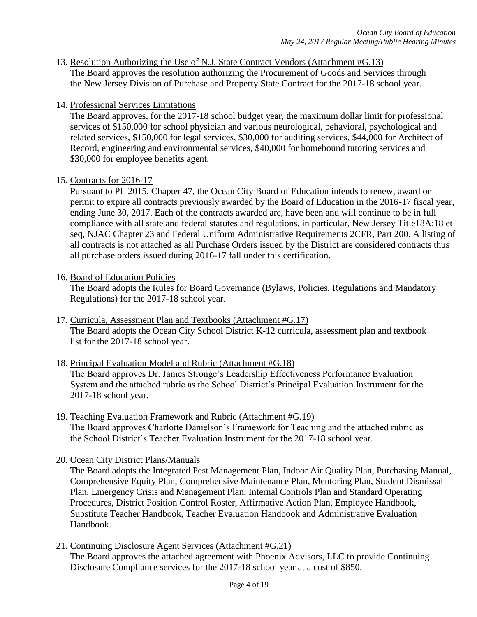- 13. Resolution Authorizing the Use of N.J. State Contract Vendors (Attachment #G.13) The Board approves the resolution authorizing the Procurement of Goods and Services through the New Jersey Division of Purchase and Property State Contract for the 2017-18 school year.
- 14. Professional Services Limitations

The Board approves, for the 2017-18 school budget year, the maximum dollar limit for professional services of \$150,000 for school physician and various neurological, behavioral, psychological and related services, \$150,000 for legal services, \$30,000 for auditing services, \$44,000 for Architect of Record, engineering and environmental services, \$40,000 for homebound tutoring services and \$30,000 for employee benefits agent.

15. Contracts for 2016-17

Pursuant to PL 2015, Chapter 47, the Ocean City Board of Education intends to renew, award or permit to expire all contracts previously awarded by the Board of Education in the 2016-17 fiscal year, ending June 30, 2017. Each of the contracts awarded are, have been and will continue to be in full compliance with all state and federal statutes and regulations, in particular, New Jersey Title18A:18 et seq, NJAC Chapter 23 and Federal Uniform Administrative Requirements 2CFR, Part 200. A listing of all contracts is not attached as all Purchase Orders issued by the District are considered contracts thus all purchase orders issued during 2016-17 fall under this certification.

### 16. Board of Education Policies

The Board adopts the Rules for Board Governance (Bylaws, Policies, Regulations and Mandatory Regulations) for the 2017-18 school year.

- 17. Curricula, Assessment Plan and Textbooks (Attachment #G.17) The Board adopts the Ocean City School District K-12 curricula, assessment plan and textbook list for the 2017-18 school year.
- 18. Principal Evaluation Model and Rubric (Attachment #G.18) The Board approves Dr. James Stronge's Leadership Effectiveness Performance Evaluation System and the attached rubric as the School District's Principal Evaluation Instrument for the 2017-18 school year.
- 19. Teaching Evaluation Framework and Rubric (Attachment #G.19) The Board approves Charlotte Danielson's Framework for Teaching and the attached rubric as the School District's Teacher Evaluation Instrument for the 2017-18 school year.
- 20. Ocean City District Plans/Manuals

The Board adopts the Integrated Pest Management Plan, Indoor Air Quality Plan, Purchasing Manual, Comprehensive Equity Plan, Comprehensive Maintenance Plan, Mentoring Plan, Student Dismissal Plan, Emergency Crisis and Management Plan, Internal Controls Plan and Standard Operating Procedures, District Position Control Roster, Affirmative Action Plan, Employee Handbook, Substitute Teacher Handbook, Teacher Evaluation Handbook and Administrative Evaluation Handbook.

21. Continuing Disclosure Agent Services (Attachment #G.21) The Board approves the attached agreement with Phoenix Advisors, LLC to provide Continuing Disclosure Compliance services for the 2017-18 school year at a cost of \$850.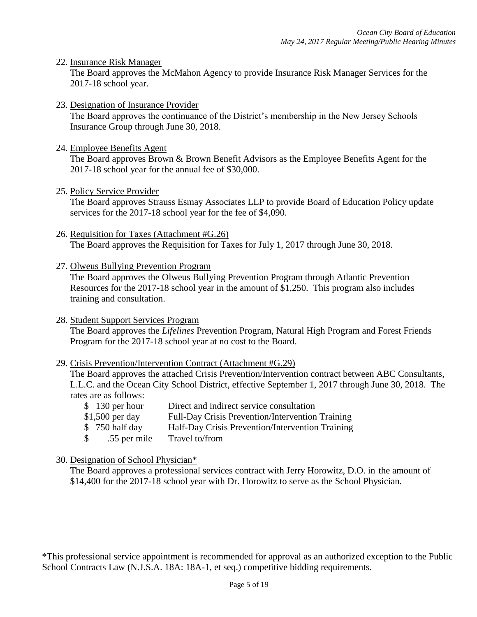#### 22. Insurance Risk Manager

The Board approves the McMahon Agency to provide Insurance Risk Manager Services for the 2017-18 school year.

23. Designation of Insurance Provider

The Board approves the continuance of the District's membership in the New Jersey Schools Insurance Group through June 30, 2018.

24. Employee Benefits Agent

The Board approves Brown & Brown Benefit Advisors as the Employee Benefits Agent for the 2017-18 school year for the annual fee of \$30,000.

25. Policy Service Provider

The Board approves Strauss Esmay Associates LLP to provide Board of Education Policy update services for the 2017-18 school year for the fee of \$4,090.

- 26. Requisition for Taxes (Attachment #G.26) The Board approves the Requisition for Taxes for July 1, 2017 through June 30, 2018.
- 27. Olweus Bullying Prevention Program

The Board approves the Olweus Bullying Prevention Program through Atlantic Prevention Resources for the 2017-18 school year in the amount of \$1,250. This program also includes training and consultation.

28. Student Support Services Program

The Board approves the *Lifelines* Prevention Program, Natural High Program and Forest Friends Program for the 2017-18 school year at no cost to the Board.

29. Crisis Prevention/Intervention Contract (Attachment #G.29)

The Board approves the attached Crisis Prevention/Intervention contract between ABC Consultants, L.L.C. and the Ocean City School District, effective September 1, 2017 through June 30, 2018. The rates are as follows:

- \$ 130 per hour Direct and indirect service consultation \$1,500 per day Full-Day Crisis Prevention/Intervention Training
- \$750 half day Half-Day Crisis Prevention/Intervention Training
- \$ .55 per mile Travel to/from
- 30. Designation of School Physician\*

The Board approves a professional services contract with Jerry Horowitz, D.O. in the amount of \$14,400 for the 2017-18 school year with Dr. Horowitz to serve as the School Physician.

\*This professional service appointment is recommended for approval as an authorized exception to the Public School Contracts Law (N.J.S.A. 18A: 18A-1, et seq.) competitive bidding requirements.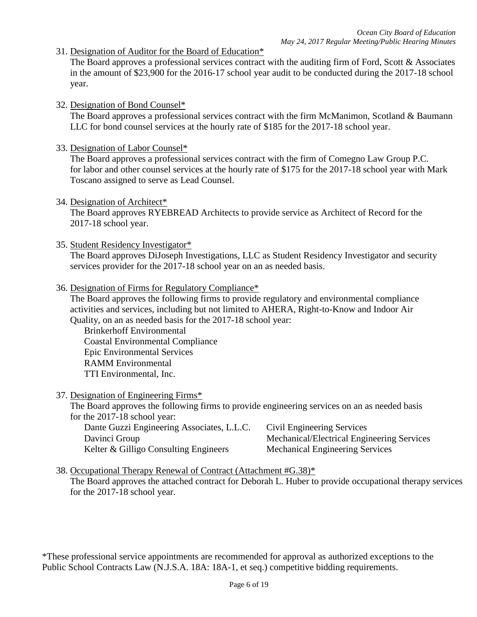31. Designation of Auditor for the Board of Education\*

The Board approves a professional services contract with the auditing firm of Ford, Scott & Associates in the amount of \$23,900 for the 2016-17 school year audit to be conducted during the 2017-18 school year.

32. Designation of Bond Counsel\*

The Board approves a professional services contract with the firm McManimon, Scotland & Baumann LLC for bond counsel services at the hourly rate of \$185 for the 2017-18 school year.

33. Designation of Labor Counsel\*

The Board approves a professional services contract with the firm of Comegno Law Group P.C. for labor and other counsel services at the hourly rate of \$175 for the 2017-18 school year with Mark Toscano assigned to serve as Lead Counsel.

34. Designation of Architect\*

The Board approves RYEBREAD Architects to provide service as Architect of Record for the 2017-18 school year.

35. Student Residency Investigator\*

The Board approves DiJoseph Investigations, LLC as Student Residency Investigator and security services provider for the 2017-18 school year on an as needed basis.

36. Designation of Firms for Regulatory Compliance\*

The Board approves the following firms to provide regulatory and environmental compliance activities and services, including but not limited to AHERA, Right-to-Know and Indoor Air Quality, on an as needed basis for the 2017-18 school year:

Brinkerhoff Environmental Coastal Environmental Compliance Epic Environmental Services RAMM Environmental TTI Environmental, Inc.

37. Designation of Engineering Firms\*

The Board approves the following firms to provide engineering services on an as needed basis for the 2017-18 school year:

| Dante Guzzi Engineering Associates, L.L.C. | Civil Engineering Services                 |
|--------------------------------------------|--------------------------------------------|
| Davinci Group                              | Mechanical/Electrical Engineering Services |
| Kelter & Gilligo Consulting Engineers      | <b>Mechanical Engineering Services</b>     |

38. Occupational Therapy Renewal of Contract (Attachment #G.38)\*

The Board approves the attached contract for Deborah L. Huber to provide occupational therapy services for the 2017-18 school year.

\*These professional service appointments are recommended for approval as authorized exceptions to the Public School Contracts Law (N.J.S.A. 18A: 18A-1, et seq.) competitive bidding requirements.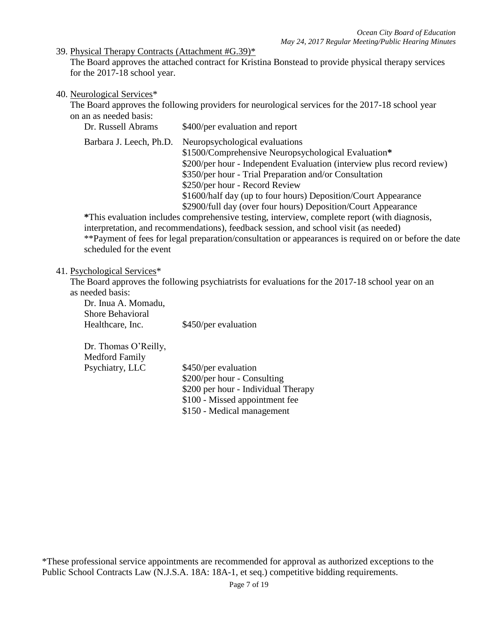39. Physical Therapy Contracts (Attachment #G.39)\*

The Board approves the attached contract for Kristina Bonstead to provide physical therapy services for the 2017-18 school year.

#### 40. Neurological Services\*

The Board approves the following providers for neurological services for the 2017-18 school year on an as needed basis:

| Dr. Russell Abrams | \$400/per evaluation and report |  |
|--------------------|---------------------------------|--|
|--------------------|---------------------------------|--|

Barbara J. Leech, Ph.D. Neuropsychological evaluations

\$1500/Comprehensive Neuropsychological Evaluation**\*** \$200/per hour - Independent Evaluation (interview plus record review) \$350/per hour - Trial Preparation and/or Consultation \$250/per hour - Record Review \$1600/half day (up to four hours) Deposition/Court Appearance

\$2900/full day (over four hours) Deposition/Court Appearance

**\***This evaluation includes comprehensive testing, interview, complete report (with diagnosis, interpretation, and recommendations), feedback session, and school visit (as needed) \*\*Payment of fees for legal preparation/consultation or appearances is required on or before the date scheduled for the event

#### 41. Psychological Services\*

The Board approves the following psychiatrists for evaluations for the 2017-18 school year on an as needed basis:

Dr. Inua A. Momadu, Shore Behavioral Healthcare, Inc. \$450/per evaluation

Dr. Thomas O'Reilly, Medford Family Psychiatry, LLC \$450/per evaluation \$200/per hour - Consulting \$200 per hour - Individual Therapy \$100 - Missed appointment fee \$150 - Medical management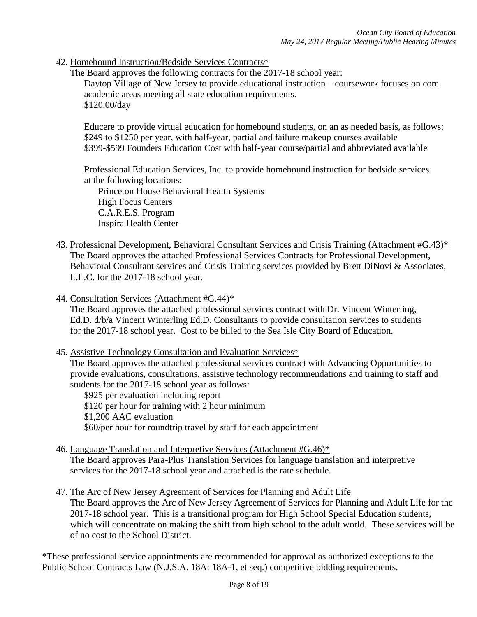42. Homebound Instruction/Bedside Services Contracts\*

The Board approves the following contracts for the 2017-18 school year:

Daytop Village of New Jersey to provide educational instruction – coursework focuses on core academic areas meeting all state education requirements. \$120.00/day

Educere to provide virtual education for homebound students, on an as needed basis, as follows: \$249 to \$1250 per year, with half-year, partial and failure makeup courses available \$399-\$599 Founders Education Cost with half-year course/partial and abbreviated available

Professional Education Services, Inc. to provide homebound instruction for bedside services at the following locations:

Princeton House Behavioral Health Systems High Focus Centers C.A.R.E.S. Program Inspira Health Center

- 43. Professional Development, Behavioral Consultant Services and Crisis Training (Attachment #G.43)\* The Board approves the attached Professional Services Contracts for Professional Development, Behavioral Consultant services and Crisis Training services provided by Brett DiNovi & Associates, L.L.C. for the 2017-18 school year.
- 44. Consultation Services (Attachment #G.44)\*

The Board approves the attached professional services contract with Dr. Vincent Winterling, Ed.D. d/b/a Vincent Winterling Ed.D. Consultants to provide consultation services to students for the 2017-18 school year. Cost to be billed to the Sea Isle City Board of Education.

45. Assistive Technology Consultation and Evaluation Services\*

The Board approves the attached professional services contract with Advancing Opportunities to provide evaluations, consultations, assistive technology recommendations and training to staff and students for the 2017-18 school year as follows:

\$925 per evaluation including report \$120 per hour for training with 2 hour minimum \$1,200 AAC evaluation \$60/per hour for roundtrip travel by staff for each appointment

- 46. Language Translation and Interpretive Services (Attachment #G.46)\* The Board approves Para-Plus Translation Services for language translation and interpretive services for the 2017-18 school year and attached is the rate schedule.
- 47. The Arc of New Jersey Agreement of Services for Planning and Adult Life

The Board approves the Arc of New Jersey Agreement of Services for Planning and Adult Life for the 2017-18 school year. This is a transitional program for High School Special Education students, which will concentrate on making the shift from high school to the adult world. These services will be of no cost to the School District.

\*These professional service appointments are recommended for approval as authorized exceptions to the Public School Contracts Law (N.J.S.A. 18A: 18A-1, et seq.) competitive bidding requirements.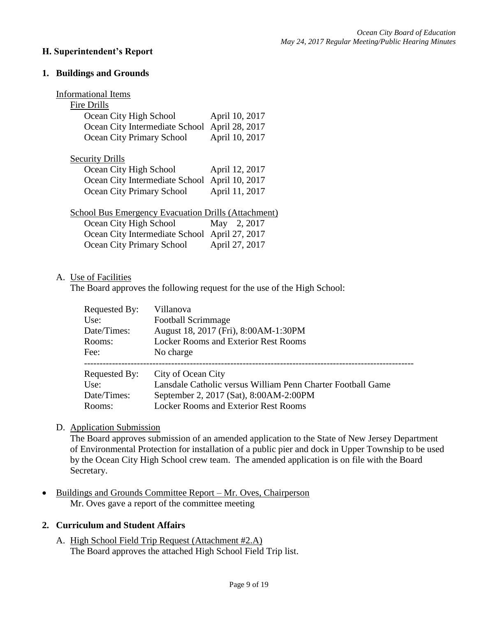### **H. Superintendent's Report**

### **1. Buildings and Grounds**

| <b>Informational Items</b>                                 |                |  |  |
|------------------------------------------------------------|----------------|--|--|
| Fire Drills                                                |                |  |  |
| Ocean City High School                                     | April 10, 2017 |  |  |
| Ocean City Intermediate School                             | April 28, 2017 |  |  |
| Ocean City Primary School                                  | April 10, 2017 |  |  |
| <b>Security Drills</b>                                     |                |  |  |
| Ocean City High School                                     | April 12, 2017 |  |  |
| Ocean City Intermediate School                             | April 10, 2017 |  |  |
| Ocean City Primary School                                  | April 11, 2017 |  |  |
| <b>School Bus Emergency Evacuation Drills (Attachment)</b> |                |  |  |
| Ocean City High School                                     | May 2, 2017    |  |  |
| Ocean City Intermediate School April 27, 2017              |                |  |  |
| Ocean City Primary School                                  | April 27, 2017 |  |  |

#### A. Use of Facilities

The Board approves the following request for the use of the High School:

| Requested By: | Villanova                                                   |
|---------------|-------------------------------------------------------------|
| Use:          | <b>Football Scrimmage</b>                                   |
| Date/Times:   | August 18, 2017 (Fri), 8:00AM-1:30PM                        |
| Rooms:        | <b>Locker Rooms and Exterior Rest Rooms</b>                 |
| Fee:          | No charge                                                   |
|               |                                                             |
| Requested By: | City of Ocean City                                          |
| Use:          | Lansdale Catholic versus William Penn Charter Football Game |
| Date/Times:   | September 2, 2017 (Sat), 8:00AM-2:00PM                      |
| Rooms:        | <b>Locker Rooms and Exterior Rest Rooms</b>                 |

# D. Application Submission

The Board approves submission of an amended application to the State of New Jersey Department of Environmental Protection for installation of a public pier and dock in Upper Township to be used by the Ocean City High School crew team. The amended application is on file with the Board Secretary.

• Buildings and Grounds Committee Report – Mr. Oves, Chairperson Mr. Oves gave a report of the committee meeting

### **2. Curriculum and Student Affairs**

A. High School Field Trip Request (Attachment #2.A) The Board approves the attached High School Field Trip list.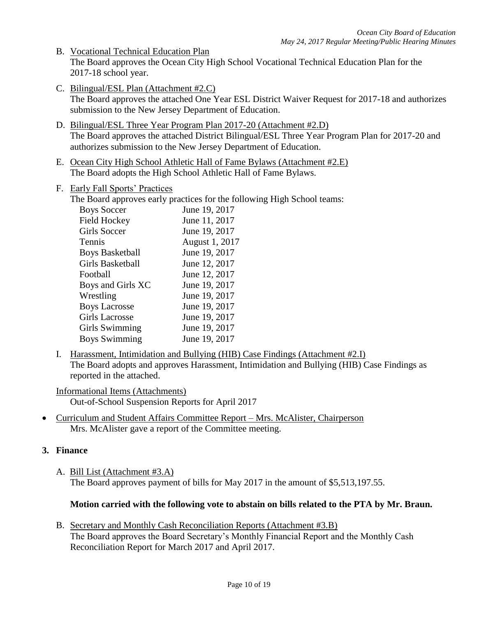- B. Vocational Technical Education Plan The Board approves the Ocean City High School Vocational Technical Education Plan for the 2017-18 school year.
- C. Bilingual/ESL Plan (Attachment #2.C) The Board approves the attached One Year ESL District Waiver Request for 2017-18 and authorizes submission to the New Jersey Department of Education.
- D. Bilingual/ESL Three Year Program Plan 2017-20 (Attachment #2.D) The Board approves the attached District Bilingual/ESL Three Year Program Plan for 2017-20 and authorizes submission to the New Jersey Department of Education.
- E. Ocean City High School Athletic Hall of Fame Bylaws (Attachment #2.E) The Board adopts the High School Athletic Hall of Fame Bylaws.
- F. Early Fall Sports' Practices

The Board approves early practices for the following High School teams:

| <b>Boys Soccer</b>     | June 19, 2017  |
|------------------------|----------------|
| <b>Field Hockey</b>    | June 11, 2017  |
| Girls Soccer           | June 19, 2017  |
| Tennis                 | August 1, 2017 |
| <b>Boys Basketball</b> | June 19, 2017  |
| Girls Basketball       | June 12, 2017  |
| Football               | June 12, 2017  |
| Boys and Girls XC      | June 19, 2017  |
| Wrestling              | June 19, 2017  |
| <b>Boys Lacrosse</b>   | June 19, 2017  |
| <b>Girls Lacrosse</b>  | June 19, 2017  |
| Girls Swimming         | June 19, 2017  |
| <b>Boys Swimming</b>   | June 19, 2017  |
|                        |                |

I. Harassment, Intimidation and Bullying (HIB) Case Findings (Attachment #2.I) The Board adopts and approves Harassment, Intimidation and Bullying (HIB) Case Findings as reported in the attached.

Informational Items (Attachments) Out-of-School Suspension Reports for April 2017

 Curriculum and Student Affairs Committee Report – Mrs. McAlister, Chairperson Mrs. McAlister gave a report of the Committee meeting.

# **3. Finance**

A. Bill List (Attachment #3.A) The Board approves payment of bills for May 2017 in the amount of \$5,513,197.55.

# **Motion carried with the following vote to abstain on bills related to the PTA by Mr. Braun.**

B. Secretary and Monthly Cash Reconciliation Reports (Attachment #3.B) The Board approves the Board Secretary's Monthly Financial Report and the Monthly Cash Reconciliation Report for March 2017 and April 2017.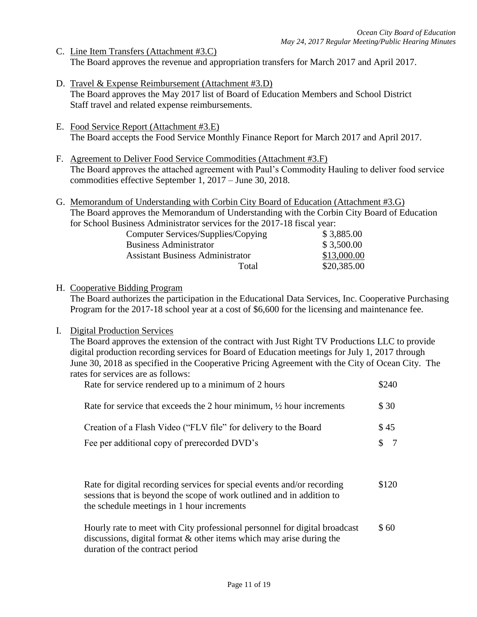- C. Line Item Transfers (Attachment #3.C) The Board approves the revenue and appropriation transfers for March 2017 and April 2017.
- D. Travel & Expense Reimbursement (Attachment #3.D) The Board approves the May 2017 list of Board of Education Members and School District Staff travel and related expense reimbursements.
- E. Food Service Report (Attachment #3.E) The Board accepts the Food Service Monthly Finance Report for March 2017 and April 2017.
- F. Agreement to Deliver Food Service Commodities (Attachment #3.F) The Board approves the attached agreement with Paul's Commodity Hauling to deliver food service commodities effective September 1, 2017 – June 30, 2018.
- G. Memorandum of Understanding with Corbin City Board of Education (Attachment #3.G) The Board approves the Memorandum of Understanding with the Corbin City Board of Education for School Business Administrator services for the 2017-18 fiscal year:

| Computer Services/Supplies/Copying      | \$3,885.00  |
|-----------------------------------------|-------------|
| <b>Business Administrator</b>           | \$3,500.00  |
| <b>Assistant Business Administrator</b> | \$13,000.00 |
| Total                                   | \$20,385.00 |

# H. Cooperative Bidding Program

The Board authorizes the participation in the Educational Data Services, Inc. Cooperative Purchasing Program for the 2017-18 school year at a cost of \$6,600 for the licensing and maintenance fee.

# I. Digital Production Services

The Board approves the extension of the contract with Just Right TV Productions LLC to provide digital production recording services for Board of Education meetings for July 1, 2017 through June 30, 2018 as specified in the Cooperative Pricing Agreement with the City of Ocean City. The rates for services are as follows:

| Rate for service rendered up to a minimum of 2 hours                            | \$240   |
|---------------------------------------------------------------------------------|---------|
| Rate for service that exceeds the 2 hour minimum, $\frac{1}{2}$ hour increments | \$30    |
| Creation of a Flash Video ("FLV file" for delivery to the Board                 | \$45    |
| Fee per additional copy of prerecorded DVD's                                    | $S \t7$ |
|                                                                                 |         |
| Data for digital recording conviges for gracial events and/or recording         | 0.120   |

Rate for digital recording services for special events and/or recording \$120 sessions that is beyond the scope of work outlined and in addition to the schedule meetings in 1 hour increments

Hourly rate to meet with City professional personnel for digital broadcast  $$60$ discussions, digital format & other items which may arise during the duration of the contract period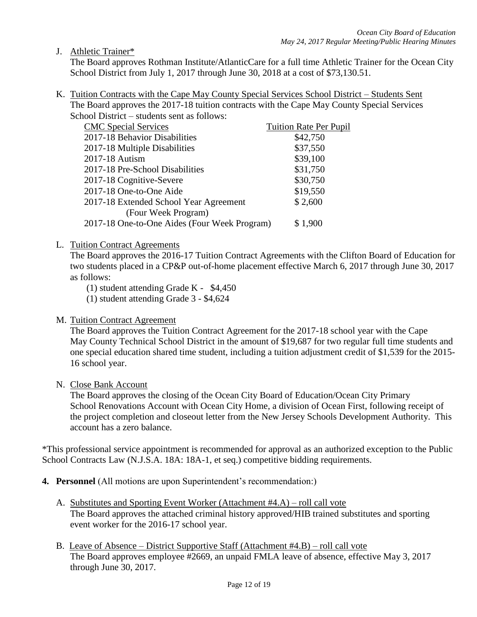J. Athletic Trainer\*

The Board approves Rothman Institute/AtlanticCare for a full time Athletic Trainer for the Ocean City School District from July 1, 2017 through June 30, 2018 at a cost of \$73,130.51.

K. Tuition Contracts with the Cape May County Special Services School District – Students Sent The Board approves the 2017-18 tuition contracts with the Cape May County Special Services School District – students sent as follows:

| <b>CMC</b> Special Services                  | <b>Tuition Rate Per Pupil</b> |
|----------------------------------------------|-------------------------------|
| 2017-18 Behavior Disabilities                | \$42,750                      |
| 2017-18 Multiple Disabilities                | \$37,550                      |
| 2017-18 Autism                               | \$39,100                      |
| 2017-18 Pre-School Disabilities              | \$31,750                      |
| 2017-18 Cognitive-Severe                     | \$30,750                      |
| 2017-18 One-to-One Aide                      | \$19,550                      |
| 2017-18 Extended School Year Agreement       | \$2,600                       |
| (Four Week Program)                          |                               |
| 2017-18 One-to-One Aides (Four Week Program) | \$1,900                       |
|                                              |                               |

### L. Tuition Contract Agreements

The Board approves the 2016-17 Tuition Contract Agreements with the Clifton Board of Education for two students placed in a CP&P out-of-home placement effective March 6, 2017 through June 30, 2017 as follows:

- (1) student attending Grade K \$4,450
- (1) student attending Grade 3 \$4,624

### M. Tuition Contract Agreement

The Board approves the Tuition Contract Agreement for the 2017-18 school year with the Cape May County Technical School District in the amount of \$19,687 for two regular full time students and one special education shared time student, including a tuition adjustment credit of \$1,539 for the 2015- 16 school year.

#### N. Close Bank Account

The Board approves the closing of the Ocean City Board of Education/Ocean City Primary School Renovations Account with Ocean City Home, a division of Ocean First, following receipt of the project completion and closeout letter from the New Jersey Schools Development Authority. This account has a zero balance.

\*This professional service appointment is recommended for approval as an authorized exception to the Public School Contracts Law (N.J.S.A. 18A: 18A-1, et seq.) competitive bidding requirements.

- **4. Personnel** (All motions are upon Superintendent's recommendation:)
	- A. Substitutes and Sporting Event Worker (Attachment #4.A) roll call vote The Board approves the attached criminal history approved/HIB trained substitutes and sporting event worker for the 2016-17 school year.
	- B. Leave of Absence District Supportive Staff (Attachment #4.B) roll call vote The Board approves employee #2669, an unpaid FMLA leave of absence, effective May 3, 2017 through June 30, 2017.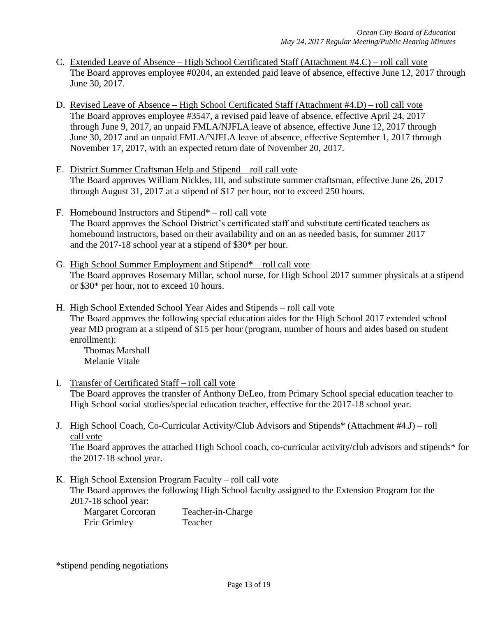- C. Extended Leave of Absence High School Certificated Staff (Attachment #4.C) roll call vote The Board approves employee #0204, an extended paid leave of absence, effective June 12, 2017 through June 30, 2017.
- D. Revised Leave of Absence High School Certificated Staff (Attachment #4.D) roll call vote The Board approves employee #3547, a revised paid leave of absence, effective April 24, 2017 through June 9, 2017, an unpaid FMLA/NJFLA leave of absence, effective June 12, 2017 through June 30, 2017 and an unpaid FMLA/NJFLA leave of absence, effective September 1, 2017 through November 17, 2017, with an expected return date of November 20, 2017.
- E. District Summer Craftsman Help and Stipend roll call vote The Board approves William Nickles, III, and substitute summer craftsman, effective June 26, 2017 through August 31, 2017 at a stipend of \$17 per hour, not to exceed 250 hours.
- F. Homebound Instructors and Stipend\* roll call vote The Board approves the School District's certificated staff and substitute certificated teachers as homebound instructors, based on their availability and on an as needed basis, for summer 2017 and the 2017-18 school year at a stipend of \$30\* per hour.
- G. High School Summer Employment and Stipend\* roll call vote The Board approves Rosemary Millar, school nurse, for High School 2017 summer physicals at a stipend or \$30\* per hour, not to exceed 10 hours.
- H. High School Extended School Year Aides and Stipends roll call vote The Board approves the following special education aides for the High School 2017 extended school year MD program at a stipend of \$15 per hour (program, number of hours and aides based on student enrollment):

Thomas Marshall Melanie Vitale

- I. Transfer of Certificated Staff roll call vote The Board approves the transfer of Anthony DeLeo, from Primary School special education teacher to High School social studies/special education teacher, effective for the 2017-18 school year.
- J. High School Coach, Co-Curricular Activity/Club Advisors and Stipends\* (Attachment #4.J) roll call vote

The Board approves the attached High School coach, co-curricular activity/club advisors and stipends\* for the 2017-18 school year.

K. High School Extension Program Faculty – roll call vote The Board approves the following High School faculty assigned to the Extension Program for the 2017-18 school year:

| Margaret Corcoran | Teacher-in-Charge |
|-------------------|-------------------|
| Eric Grimley      | Teacher           |

\*stipend pending negotiations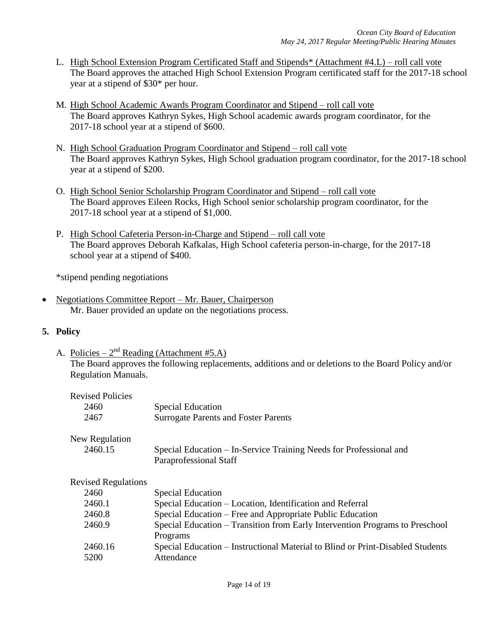- L. High School Extension Program Certificated Staff and Stipends\* (Attachment #4.L) roll call vote The Board approves the attached High School Extension Program certificated staff for the 2017-18 school year at a stipend of \$30\* per hour.
- M. High School Academic Awards Program Coordinator and Stipend roll call vote The Board approves Kathryn Sykes, High School academic awards program coordinator, for the 2017-18 school year at a stipend of \$600.
- N. High School Graduation Program Coordinator and Stipend roll call vote The Board approves Kathryn Sykes, High School graduation program coordinator, for the 2017-18 school year at a stipend of \$200.
- O. High School Senior Scholarship Program Coordinator and Stipend roll call vote The Board approves Eileen Rocks, High School senior scholarship program coordinator, for the 2017-18 school year at a stipend of \$1,000.
- P. High School Cafeteria Person-in-Charge and Stipend roll call vote The Board approves Deborah Kafkalas, High School cafeteria person-in-charge, for the 2017-18 school year at a stipend of \$400.

\*stipend pending negotiations

 Negotiations Committee Report – Mr. Bauer, Chairperson Mr. Bauer provided an update on the negotiations process.

# **5. Policy**

A. Policies –  $2^{nd}$  Reading (Attachment #5.A) The Board approves the following replacements, additions and or deletions to the Board Policy and/or Regulation Manuals.

| <b>Revised Policies</b>    |                                                                                              |
|----------------------------|----------------------------------------------------------------------------------------------|
| 2460                       | <b>Special Education</b>                                                                     |
| 2467                       | <b>Surrogate Parents and Foster Parents</b>                                                  |
| New Regulation             |                                                                                              |
| 2460.15                    | Special Education – In-Service Training Needs for Professional and<br>Paraprofessional Staff |
| <b>Revised Regulations</b> |                                                                                              |
| 2460                       | <b>Special Education</b>                                                                     |
| 2460.1                     | Special Education – Location, Identification and Referral                                    |
| 2460.8                     | Special Education – Free and Appropriate Public Education                                    |
| 2460.9                     | Special Education – Transition from Early Intervention Programs to Preschool                 |
|                            | Programs                                                                                     |
| 2460.16                    | Special Education – Instructional Material to Blind or Print-Disabled Students               |
| 5200                       | Attendance                                                                                   |
|                            |                                                                                              |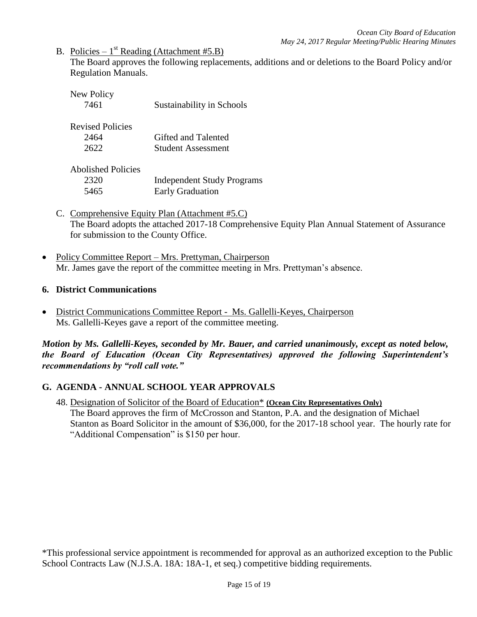B. Policies –  $1^{st}$  Reading (Attachment #5.B)

The Board approves the following replacements, additions and or deletions to the Board Policy and/or Regulation Manuals.

| New Policy<br>7461                        | Sustainability in Schools                                    |
|-------------------------------------------|--------------------------------------------------------------|
| <b>Revised Policies</b><br>2464<br>2622   | Gifted and Talented<br><b>Student Assessment</b>             |
| <b>Abolished Policies</b><br>2320<br>5465 | <b>Independent Study Programs</b><br><b>Early Graduation</b> |

- C. Comprehensive Equity Plan (Attachment #5.C) The Board adopts the attached 2017-18 Comprehensive Equity Plan Annual Statement of Assurance for submission to the County Office.
- Policy Committee Report Mrs. Prettyman, Chairperson Mr. James gave the report of the committee meeting in Mrs. Prettyman's absence.

### **6. District Communications**

 District Communications Committee Report - Ms. Gallelli-Keyes, Chairperson Ms. Gallelli-Keyes gave a report of the committee meeting.

*Motion by Ms. Gallelli-Keyes, seconded by Mr. Bauer, and carried unanimously, except as noted below, the Board of Education (Ocean City Representatives) approved the following Superintendent's recommendations by "roll call vote."* 

# **G. AGENDA - ANNUAL SCHOOL YEAR APPROVALS**

48. Designation of Solicitor of the Board of Education\* **(Ocean City Representatives Only)**  The Board approves the firm of McCrosson and Stanton, P.A. and the designation of Michael Stanton as Board Solicitor in the amount of \$36,000, for the 2017-18 school year. The hourly rate for "Additional Compensation" is \$150 per hour.

\*This professional service appointment is recommended for approval as an authorized exception to the Public School Contracts Law (N.J.S.A. 18A: 18A-1, et seq.) competitive bidding requirements.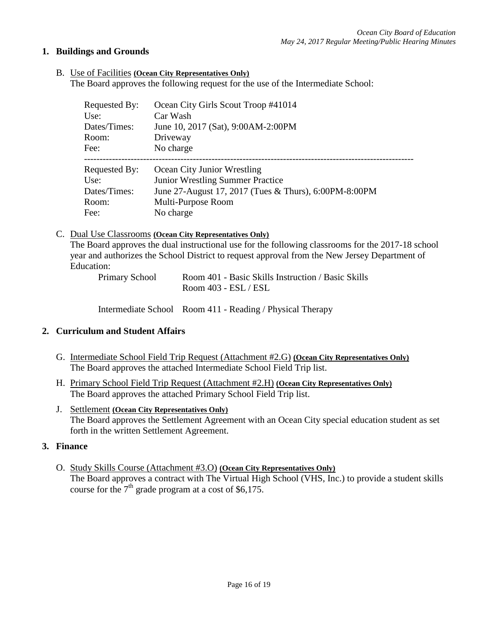### **1. Buildings and Grounds**

B. Use of Facilities **(Ocean City Representatives Only)**

The Board approves the following request for the use of the Intermediate School:

| Requested By: | Ocean City Girls Scout Troop #41014                   |
|---------------|-------------------------------------------------------|
| Use:          | Car Wash                                              |
| Dates/Times:  | June 10, 2017 (Sat), 9:00AM-2:00PM                    |
| Room:         | Driveway                                              |
| Fee:          | No charge                                             |
| Requested By: | Ocean City Junior Wrestling                           |
| Use:          | <b>Junior Wrestling Summer Practice</b>               |
| Dates/Times:  | June 27-August 17, 2017 (Tues & Thurs), 6:00PM-8:00PM |
| Room:         | Multi-Purpose Room                                    |
| Fee:          | No charge                                             |

### C. Dual Use Classrooms **(Ocean City Representatives Only)**

The Board approves the dual instructional use for the following classrooms for the 2017-18 school year and authorizes the School District to request approval from the New Jersey Department of Education:

Primary School Room 401 - Basic Skills Instruction / Basic Skills Room 403 - ESL / ESL

Intermediate School Room 411 - Reading / Physical Therapy

### **2. Curriculum and Student Affairs**

- G. Intermediate School Field Trip Request (Attachment #2.G) **(Ocean City Representatives Only)** The Board approves the attached Intermediate School Field Trip list.
- H. Primary School Field Trip Request (Attachment #2.H) **(Ocean City Representatives Only)** The Board approves the attached Primary School Field Trip list.
- J. Settlement **(Ocean City Representatives Only)**

The Board approves the Settlement Agreement with an Ocean City special education student as set forth in the written Settlement Agreement.

### **3. Finance**

O. Study Skills Course (Attachment #3.O) **(Ocean City Representatives Only)** The Board approves a contract with The Virtual High School (VHS, Inc.) to provide a student skills course for the  $7<sup>th</sup>$  grade program at a cost of \$6,175.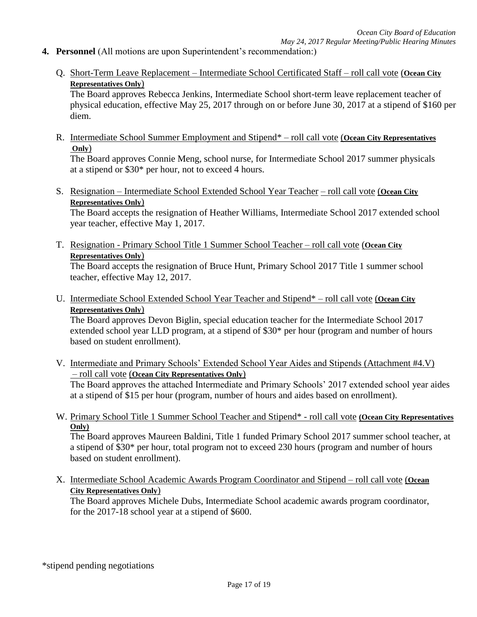- **4. Personnel** (All motions are upon Superintendent's recommendation:)
	- Q. Short-Term Leave Replacement Intermediate School Certificated Staff roll call vote (**Ocean City Representatives Only**)

The Board approves Rebecca Jenkins, Intermediate School short-term leave replacement teacher of physical education, effective May 25, 2017 through on or before June 30, 2017 at a stipend of \$160 per diem.

R. Intermediate School Summer Employment and Stipend\* – roll call vote (**Ocean City Representatives Only**)

The Board approves Connie Meng, school nurse, for Intermediate School 2017 summer physicals at a stipend or \$30\* per hour, not to exceed 4 hours.

S. Resignation – Intermediate School Extended School Year Teacher – roll call vote (**Ocean City Representatives Only**)

The Board accepts the resignation of Heather Williams, Intermediate School 2017 extended school year teacher, effective May 1, 2017.

T. Resignation - Primary School Title 1 Summer School Teacher – roll call vote (**Ocean City Representatives Only**)

The Board accepts the resignation of Bruce Hunt, Primary School 2017 Title 1 summer school teacher, effective May 12, 2017.

U. Intermediate School Extended School Year Teacher and Stipend\* – roll call vote (**Ocean City Representatives Only**)

The Board approves Devon Biglin, special education teacher for the Intermediate School 2017 extended school year LLD program, at a stipend of \$30\* per hour (program and number of hours based on student enrollment).

V. Intermediate and Primary Schools' Extended School Year Aides and Stipends (Attachment #4.V) – roll call vote (**Ocean City Representatives Only**)

The Board approves the attached Intermediate and Primary Schools' 2017 extended school year aides at a stipend of \$15 per hour (program, number of hours and aides based on enrollment).

W. Primary School Title 1 Summer School Teacher and Stipend\* - roll call vote **(Ocean City Representatives Only)**

The Board approves Maureen Baldini, Title 1 funded Primary School 2017 summer school teacher, at a stipend of \$30\* per hour, total program not to exceed 230 hours (program and number of hours based on student enrollment).

X. Intermediate School Academic Awards Program Coordinator and Stipend – roll call vote (**Ocean City Representatives Only**)

The Board approves Michele Dubs, Intermediate School academic awards program coordinator, for the 2017-18 school year at a stipend of \$600.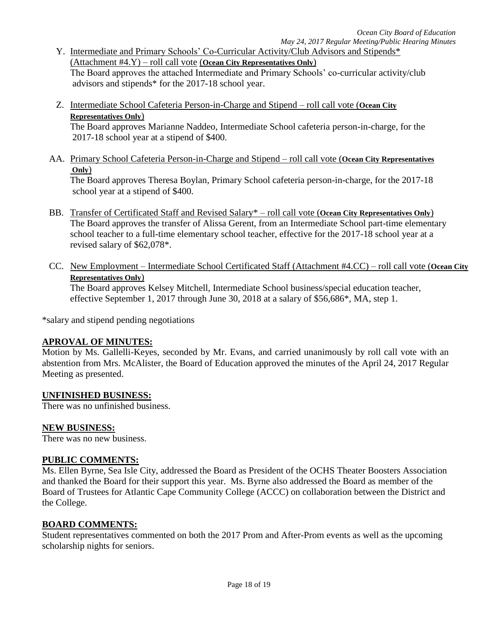- Y. Intermediate and Primary Schools' Co-Curricular Activity/Club Advisors and Stipends\* (Attachment #4.Y) – roll call vote (**Ocean City Representatives Only**) The Board approves the attached Intermediate and Primary Schools' co-curricular activity/club advisors and stipends\* for the 2017-18 school year.
- Z. Intermediate School Cafeteria Person-in-Charge and Stipend roll call vote (**Ocean City Representatives Only**)

The Board approves Marianne Naddeo, Intermediate School cafeteria person-in-charge, for the 2017-18 school year at a stipend of \$400.

AA. Primary School Cafeteria Person-in-Charge and Stipend – roll call vote (**Ocean City Representatives Only**)

The Board approves Theresa Boylan, Primary School cafeteria person-in-charge, for the 2017-18 school year at a stipend of \$400.

- BB. Transfer of Certificated Staff and Revised Salary\* roll call vote (**Ocean City Representatives Only**) The Board approves the transfer of Alissa Gerent, from an Intermediate School part-time elementary school teacher to a full-time elementary school teacher, effective for the 2017-18 school year at a revised salary of \$62,078\*.
- CC. New Employment Intermediate School Certificated Staff (Attachment #4.CC) roll call vote (**Ocean City Representatives Only**)

The Board approves Kelsey Mitchell, Intermediate School business/special education teacher, effective September 1, 2017 through June 30, 2018 at a salary of \$56,686\*, MA, step 1.

\*salary and stipend pending negotiations

### **APROVAL OF MINUTES:**

Motion by Ms. Gallelli-Keyes, seconded by Mr. Evans, and carried unanimously by roll call vote with an abstention from Mrs. McAlister, the Board of Education approved the minutes of the April 24, 2017 Regular Meeting as presented.

### **UNFINISHED BUSINESS:**

There was no unfinished business.

### **NEW BUSINESS:**

There was no new business.

### **PUBLIC COMMENTS:**

Ms. Ellen Byrne, Sea Isle City, addressed the Board as President of the OCHS Theater Boosters Association and thanked the Board for their support this year. Ms. Byrne also addressed the Board as member of the Board of Trustees for Atlantic Cape Community College (ACCC) on collaboration between the District and the College.

### **BOARD COMMENTS:**

Student representatives commented on both the 2017 Prom and After-Prom events as well as the upcoming scholarship nights for seniors.